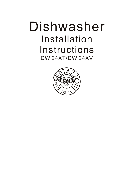# Dishwasher Installation Instructions DW 24XT/DW 24XV

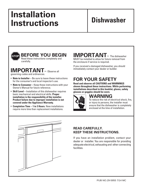# **Installation Instructions Dishwasher**



**BEFORE YOU BEGIN** Read these instructions completely and

#### **IMPORTANT** – Observe all governing codes and ordinances.

- **Note to Installer** Be sure to leave these instructions for the consumer's and local inspector's use.
- Note to Consumer Keep these instructions with your Owner's Manual for future reference.
- **Skill Level** Installation of this dishwasher requires basic mechanical and electrical skills. **Proper installation is the responsibility of the installer. Product failure due to improper installation is not covered under the Appliance Warranty.**
- Completion Time 1 to 3 Hours. New installations require more time than replacement installations.

# **IMPORTANT –** The dishwasher

MUST be installed to allow for future removal from the enclosure if service is required.

If you received a damaged dishwasher, you should immediately contact your dealer or builder.

# **FOR YOUR SAFETY**

**Read and observe all CAUTIONS and WARNINGS shown throughout these instructions. While performing installations described in this booklet, gloves, safety glasses or goggles should be worn.**



# **WARNING**

To reduce the risk of electrical shock, fire, or injury to persons, the installer must ensure that the dishwasher is completely enclosed at the time of installation.



### **READ CAREFULLY. KEEP THESE INSTRUCTIONS.**

If you have an installation problem, contact your dealer or installer. You are responsible for providing adequate electrical, exhausting and other connecting facilities.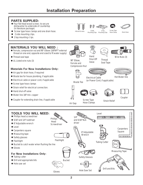# **Installation Preparation**

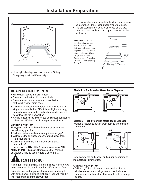

• The rough cabinet opening must be at least 24" deep. The opening should be 35" max. height.

- The dishwasher must be installed so that drain hose is no more than 10 feet in length for proper drainage.
- The dishwasher must be fully enclosed on the top, sides and back, and must not support any part of the enclosure.





#### **DRAIN REQUIREMENTS**

- Follow local codes and ordinances.
- Do not exceed 10 feet distance to drain.
- $\bullet$  Do not connect drain lines from other devices to the dishwasher drain hose.
- Dishwasher must be connected to waste line with an air gap (not supplied) or 32" minimum high drain loop, depending on local codes and ordinances to prevent back flow into the dishwasher.
- Air gap must be used if waste tee or disposer connection is less than 18" above the floor to prevent siphoning.

#### **DRAIN PREPARATION**

The type of drain installation depends on answers to the following questions:

- Do local codes or ordinances require an air gap?
- Will waste tee or disposer connection be less than 18" above the floor?
- Will installation have a drain loop less than 32" above floor?

If the answer to **ANY** of the 3 questions above is **YES, Method 1 MUST be used**. Otherwise either Method 1 or Method 2 may be used. Figure C or Figure D.



An air gap MUST BE USED if the drain hose is connected to waste tee or disposer lower than 18" above the floor.

Failure to provide the proper drain connection height with air gap or 32" minimum, high drain loop will result in improper draining of the dishwasher.

#### **Method 1 – Air Gap with Waste Tee or Disposer**





#### **Method 2 – High Drain with Waste Tee or Disposer** Provide a method to attach drain hose to underside of

countertop.





Install waste tee or disposer and air gap according to manufacturer's instructions.

#### **CABINET PREPARATION**

• Drill a 1-1/2" dia, hole in the cabinet wall within the shaded areas shown in Figure A for the drain hose connection. The hole should be smooth with no sharp edges.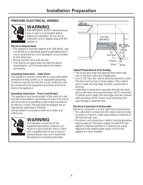### **PREPARE ELECTRICAL WIRING**



# **WARNING**

FOR PERSONAL SAFETY: Remove house fuse or open circuit breaker before beginning installation. Do not use an extension cord or adapter plug with this appliance.

#### **Electrical Requirements**

- This appliance must be supplied with 120V, 60 Hz., and connected to an individual properly grounded branch circuit, protected by a 15 or 20 ampere circuit breaker or time delay fuse.
- Wiring must be 2 wire with ground.
- If the electrical supply does not meet the above requirements, call a licensed electrician before proceeding.

#### **Grounding Instructions – Cable Direct**

This appliance must be connected to a grounded metal, permanent wiring system, or an equipment grounding conductor must be run with the circuit conductors and be connected to the equipment grounding terminal or lead on the appliance.

#### **Grounding Instructions – Power Cord Models**

This appliance must be grounded. In the event of a malfunction or breakdown, grounding will reduce the risk of electrical shock by providing a path of least resistance for electric current. The plug must be plugged into an appropriate outlet that is installed

and grounded in accordance with local codes and ordinances.



# **WARNING**

The improper connection of the equipment grounding conductor can result in a risk of electric shock. Check with a qualified electrician or service representative if you are in doubt that the appliance is properly grounded.



#### **Cabinet Preparation & Wire Routing**

- The wiring may enter the opening from either side, rear or the floor within the shaded area.
- Cut a 1-1/2" max. dia. hole to admit the electrical cable. The hole must be free of sharp edges. If the cabinet wall is metal, the hole edge must be covered with a bushing.
- Cable direct connections may pass through the same hole as the drain hose and hot water line, if convenient. If cabinet wall is metal, the hole edge must be covered with a bushing. NOTE: Power cords with plug must pass through a separate hole.

#### **Electrical Connection to Dishwasher**

Electrical connection is on the right front of dishwasher.

- For cable direct connections the cable must be routed as shown in Figure E. Cable must extend a minimum of 24" from the rear wall.
- For power cord connections, install a 3-prong grounding type receptacle. The power-supply receptacle for the appliance shall be installed in a cabinet or on a wall adjacent to the undercounter space in which the appliance is to be installed.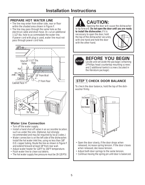#### **PREPARE HOT WATER LINE**

- The line may enter from either side, rear or floor within the shaded area shown in Figure F.
- The line may pass through the same hole as the electrical cable and drain hose. Or, cut an additional 1-1/2" dia. hole to accommodate the water line. If power cord with plug is used, water line must not pass through power cord hole.





#### **Water Line Connection**

- Turn off the water supply.
- Install a hand shut-off valve in an accessible location, such as under the sink. (Optional, but strongly recommended and may be required by local codes.)
- Water connection is on the left side of the dishwasher. Install the hot water inlet line, using no less than 3/8" O.D. copper tubing. Route the line as shown in Figure F and extend forward at least 18" from rear wall.
- Adjust water heater for 120°F to 150°F temperature.
- Flush water line to clean out debris.
- The hot water supply line pressure must be 20-120 PSI.

# **CAUTION:**

Opening the door will cause the dishwasher to tip forward. **Do not open the door until you are ready** 

**to install the dishwasher.** If it is necessary to open the door, hold the top of the dishwasher securely with one hand and hold the door with the other hand.





# **STOP** Locate and set aside the package containing

Locate and set aside the package containing 2 Phillips head countertop mounting screws and 2 additional toekick screws (located in the literature package).

# **STEP 1 CHECK DOOR BALANCE**

To check the door balance, hold the top of the dishwasher firmly.



- Open the door slowly, if the door drops when released, increase spring tension. If the door closes when released, decrease tension.
- Adjust both door springs to the same tension.
- Continue moving the spring pin until door is balanced.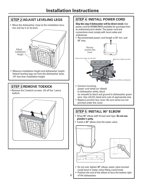#### **STEP 2 ADJUST LEVELING LEGS**

• Move the dishwasher close to the installation location and lay it on its back.



• Measure installation height and dishwasher height. Extend leveling legs out from the dishwasher base. 1/4" less than installation height.

### **STEP 3 REMOVE TOEKICK**

 $\bullet$  Remove the 2 toekick screws. Lift off the 1 piece toekick.



### **STEP 4 INSTALL POWER CORD**

**Skip this step if dishwasher will be direct wired.** Use power cord kit WX09X70910 available for purchase fro an authorized parts dealer. The power cord and connections must comply with local codes and ordinances.

• Recommended power cord length is 54" min. and  $64"$  max.



- to dishwasher white, black (or smooth) to black and ground to dishwasher green wire. Use cUL/UL listed wire nuts of appropriate size.
- Replace junction box cover. Be sure wires are not pinched under the cover.

# **STEP 5 INSTALL 90° ELBOW**

- Wrap 90° elbow with thread seal tape. **Do not use plumber's putty.**
- $\bullet$  Install a 90 $^{\circ}$  elbow onto the water valve.



- Do not over tighten 90° elbow, water valve bracket could bend or water valve fitting could break.
- Position the end of the elbow to face the bottom right of the dishwasher.

6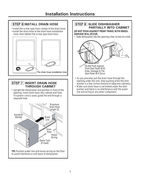# **STEP 6 INSTALL DRAIN HOSE**

- Install the screw type hose clamps to the drain hose.
- hose, then tighten the screw type hose hose. • Install the drain hose to the drain hose installation



#### **STEP 7 INSERT DRAIN HOSE THROUGH CABINET**

• Upright the dishwasher and position in front of the opening. Insert drain hose into cabinet wall hole. If a power cord is used, guide the end through a separate hole.



#### **STEP 8 SLIDE DISHWASHER PARTIALLY INTO CABINET**

**DO NOT PUSH AGAINST FRONT PANEL WITH KNEES. DAMAGE WILL OCCUR.**

• Slide dishwasher into the opening a few inches at a time.



- As you proceed, pull the drain hose through the opening under the sink. Stop pushing when the dishwasher is a few inches forward of adjacent cabinetry.
- Make sure drain hose is not kinked under the dishwasher and there is no interference with the water line and wiring or any other component.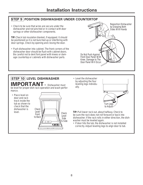### **STEP 9 POSITION DISHWASHER UNDER COUNTERTOP**

• Check to be sure that wires are secure under the dishwasher and not pinched or in contact with door springs or other dishwasher components.

**TIP:** Check tub insulation blanket, if equipped. It should be positioned so it is not bunched up or interfering with door springs. Check by opening and closing the door.

• Push dishwasher into cabinet. The front corners of the dishwasher door should be flush with cabinet doors. Be careful not to dent font panel with knees or damage countertop or cabinets with dishwasher parts.



# **STEP 10 LEVEL DISHWASHER IMPORTANT –** Dishwasher must

be level for proper dish rack operation and wash performance.

• Place level on door and rack track inside the tub as shown to check that the dishwasher is<br>level



• Level the dishwasher by adjusting the four leveling legs individually.



**TIP:** Pull lower rack out, about halfway. Check to be sure the rack does not roll forward or back into dishwasher. If the rack rolls in either direction, the dishwasher must be leveled again.

• If door hits the tub, the dishwasher is not installed correctly. Adjust leveling legs to align door to tub.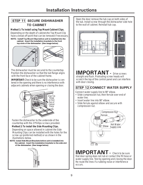### **STEP 11 SECURE DISHWASHER TO CABINET**

Depending on the depth of cabinet,the Top Mount Clip have a break off point that can be removed if necessary. **Method 1: To install using Top Mount Cabinet Clips.**

NOTE: Install Top Mount Clips before unit is installed into the cabinet. Insert the installation brackets to the front top slots of the dishwasher (See image below)





The dishwasher must be secured to the countertop. Position the dishwasher so that the tub flange aligns with the front face of the cabinet frame.

**IMPORTANT:** Check to be sure the dishwasher is centered in the opening and there is no interference with adjacent cabinets when opening or closing the door.



 Fasten the dishwasher to the underside of the countertop with the 2 Phillips screws provided. Depending on space allowed in cabinet the Side Mounting Clips can be installed with the holes for the screw up (preferred method) or as shown in the illustrations below.<br>NOTE: Install Side Mount Brackets before unit is installed into **Method 2: To install the Side Mounting Clips.**

the cabinet. Insert the installation brackets to the side slot of the dishwasher. (See image below)



Open the door remove the tub cap on both sides of the tub. Install screw through the dishwasher side hole to the wall of cabinet. Reinstall tub cap.



# **IMPORTANT –** Drive screws straight and flush. Protruding screw heads will

scratch the top of the control panel and can interfere with door closing.

## **STEP 12 CONNECT WATER SUPPLY**

Connect water supply line to 90° elbow.

- Slide compression nut, then ferrule over end of water line.
- Insert water line into 90° elbow.
- Slide ferrule against elbow and secure with compression nut.



**IMPORTANT –** Check to be sure that door spring does not rub or contact the fill hose or water supply line. Test by opening and closing the door. Re-route the lines if a rubbing noise or interference occurs.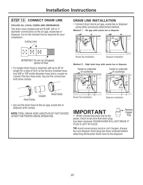## **STEP 13 CONNECT DRAIN LINE**

#### **FOLLOW ALL LOCAL CODES AND ORDINANCES.**

The drain hose molded end will fit 5/8", 3/4" or 1" diameter connections on the air gap, waste tee or disposer. Cut on the marked line as required for your installation.



• If a longer drain hose is required, add up to 42" of length for a total of 10 ft. to the factory installed hose. Use 5/8" or 7/8" inside diameter hose and a coupler to connect the two hose ends. Secure the connection with hose clamps.



• Secure the drain hose to the air gap, waste tee or disposer with clamps.

**NOTE:** TOTAL DRAIN HOSE LENGTH MUST NOT EXCEED 10 FEET FOR PROPER DRAIN OPERATION.

#### **DRAIN LINE INSTALLATION**

• Connect drain line to air gap, waste tee or disposer using either previously determined method.

**Method 1 – Air gap with waste tee or disposer**





Waste Tee Installation

Disposer Installation

#### **Method 2 – High drain loop with waste tee or disposer**



Fasten to underside of countertop 32' 18" Min. Min.

Waste Tee Installation

Disposer Installation





**–** When connecting drain line to disposer, check to be sure that drain plug has been removed. DISHWASHER WILL NOT DRAIN IF PLUG IS LEFT IN PLACE.

**TIP:** Avoid unnecessary service call charges. Always be sure disposer drain plug has been removed before attaching dishwasher drain hose to the disposer.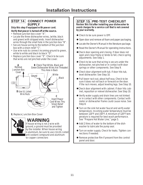#### **STEP 14 CONNECT POWER SUPPLY**

#### **Skip this step if equipped with power cord. Verify that power is turned off at the source.**

- Remove junction box cover "A".
- Locate the three dishwasher wires, (white, black and green) with stripped ends. Insert dishwasher wires through the small hole in the junction box "B".
- Secure house wiring to the bottom of the junction box with a strain relief "C".
- Use wire nuts to connect incoming ground to green, white to white and black to black "D".
- Replace junction box cover "E". Check to be sure that wires are not pinched under the cover.



**E.** Replace Junction Box Cover



# **WARNING**

If house wiring is not 2-wire with ground, a ground must be provided by the installer. When house wiring is aluminum, be sure to use cUL/UL Listed anti-oxidant compound and aluminumto-copper connectors

#### **STEP 15 PRE-TEST CHECKLIST**

**Review this list after installing your dishwasher to avoid charges for a service call that is not covered by your warranty.**

- Check to be sure power is OFF.
- \* Open door and remove all foam and paper packaging.
- Locate the Owner's Manual in the literature package.
- \* Read the Owner's Manual for operating instructions.
- -Check door opening and closing. If door does not open and close freely or tends to fall, check spring adjustments. See Step 1.
- \* Check to be sure that wiring is secure under the dishwasher, not pinched or in contact with door springs or other components. See Step 9.
- Check door alignment with tub. If door hits tub, level dishwasher. See Step 10.
- Pull lower rack out, about half way. Check to be sure it does not roll back or forward on the door. If the rack moves, adjust leveling legs. See Step 10.
- -Check door alignment with cabinet. If door hits cabinet, reposition or relevel dishwasher. See Step 10.
- Verify water supply and drain lines are not kinked or in contact with other components. Contact with motor or dishwasher frame could cause noise. See Step 8.
- $*$  **Turn on the sink hot water faucet and verify water** temperature. Incoming water temperature must be between 120°F and 150°F. A minimum of 120°F temperature is required for best wash performance. See "Prepare Hot Water Line," page 5.
- Add 2 litres of water to the bottom of the dishwasher to lubricate the pump seal.
- Turn on water supply. Check for leaks. Tighten connections if needed.
- \* Remove protective film if present from the control panel and door.